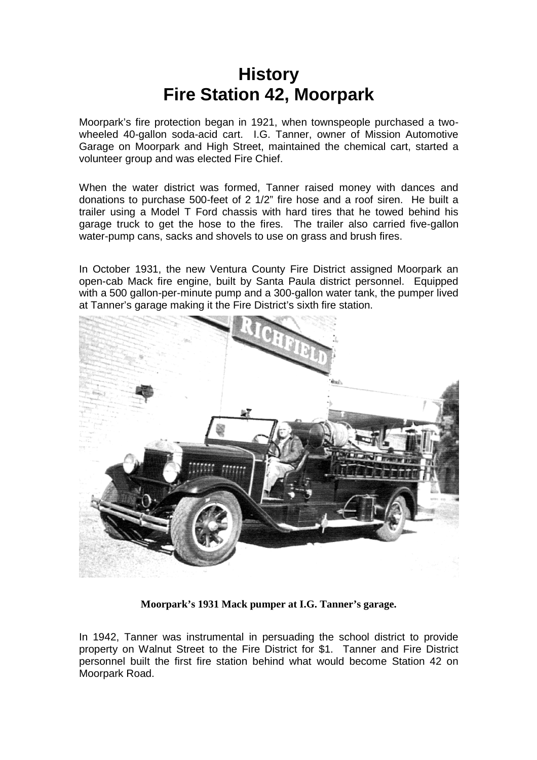## **History Fire Station 42, Moorpark**

Moorpark's fire protection began in 1921, when townspeople purchased a twowheeled 40-gallon soda-acid cart. I.G. Tanner, owner of Mission Automotive Garage on Moorpark and High Street, maintained the chemical cart, started a volunteer group and was elected Fire Chief.

When the water district was formed, Tanner raised money with dances and donations to purchase 500-feet of 2 1/2" fire hose and a roof siren. He built a trailer using a Model T Ford chassis with hard tires that he towed behind his garage truck to get the hose to the fires. The trailer also carried five-gallon water-pump cans, sacks and shovels to use on grass and brush fires.

In October 1931, the new Ventura County Fire District assigned Moorpark an open-cab Mack fire engine, built by Santa Paula district personnel. Equipped with a 500 gallon-per-minute pump and a 300-gallon water tank, the pumper lived at Tanner's garage making it the Fire District's sixth fire station.



**Moorpark's 1931 Mack pumper at I.G. Tanner's garage.**

In 1942, Tanner was instrumental in persuading the school district to provide property on Walnut Street to the Fire District for \$1. Tanner and Fire District personnel built the first fire station behind what would become Station 42 on Moorpark Road.